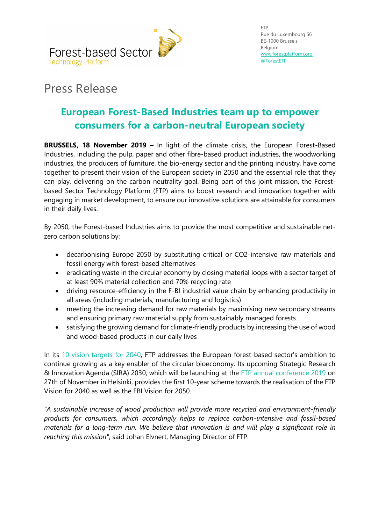

## Press Release

## **European Forest-Based Industries team up to empower consumers for a carbon-neutral European society**

**BRUSSELS, 18 November 2019** – In light of the climate crisis, the European Forest-Based Industries, including the pulp, paper and other fibre-based product industries, the woodworking industries, the producers of furniture, the bio-energy sector and the printing industry, have come together to present their vision of the European society in 2050 and the essential role that they can play, delivering on the carbon neutrality goal. Being part of this joint mission, the Forestbased Sector Technology Platform (FTP) aims to boost research and innovation together with engaging in market development, to ensure our innovative solutions are attainable for consumers in their daily lives.

By 2050, the Forest-based Industries aims to provide the most competitive and sustainable netzero carbon solutions by:

- decarbonising Europe 2050 by substituting critical or CO2-intensive raw materials and fossil energy with forest-based alternatives
- eradicating waste in the circular economy by closing material loops with a sector target of at least 90% material collection and 70% recycling rate
- driving resource-efficiency in the F-BI industrial value chain by enhancing productivity in all areas (including materials, manufacturing and logistics)
- meeting the increasing demand for raw materials by maximising new secondary streams and ensuring primary raw material supply from sustainably managed forests
- satisfying the growing demand for climate-friendly products by increasing the use of wood and wood-based products in our daily lives

In its [10 vision targets for 2040,](http://new-www.forestplatform.org/#!/pages/1) FTP addresses the European forest-based sector's ambition to continue growing as a key enabler of the circular bioeconomy. Its upcoming Strategic Research & Innovation Agenda (SIRA) 2030, which will be launching at the [FTP annual conference 2019](http://new-www.forestplatform.org/#!/pages/ftp-conference-2019) on 27th of November in Helsinki, provides the first 10-year scheme towards the realisation of the FTP Vision for 2040 as well as the FBI Vision for 2050.

*"A sustainable increase of wood production will provide more recycled and environment-friendly products for consumers, which accordingly helps to replace carbon-intensive and fossil-based materials for a long-term run. We believe that innovation is and will play a significant role in reaching this mission"*, said Johan Elvnert, Managing Director of FTP.